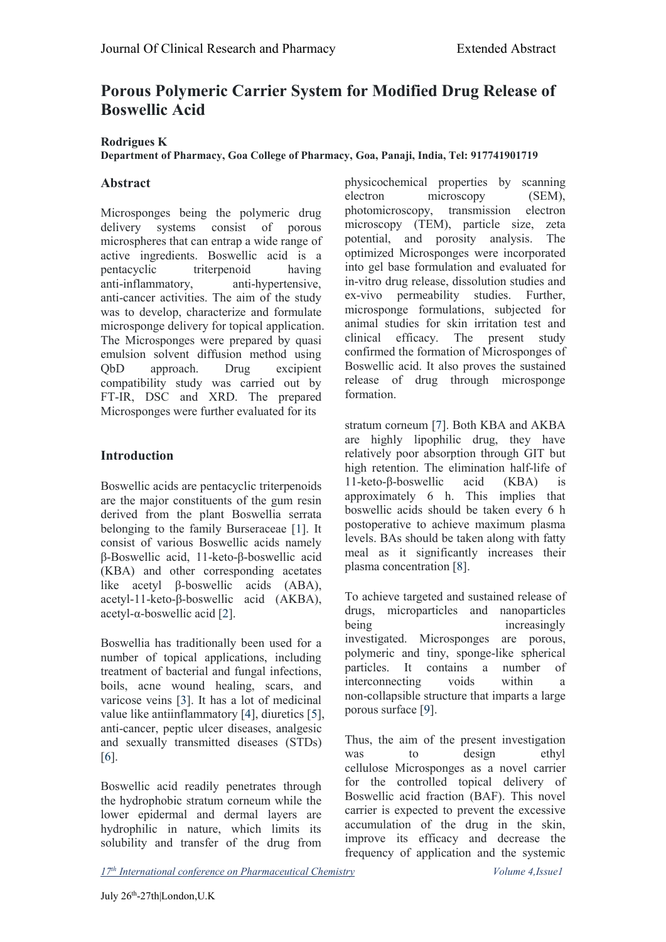# **Porous Polymeric Carrier System for Modified Drug Release of Boswellic Acid**

## **Rodrigues K**

#### **Department of Pharmacy, Goa College of Pharmacy, Goa, Panaji, India, Tel: 917741901719**

## **Abstract**

Microsponges being the polymeric drug delivery systems consist of porous microspheres that can entrap a wide range of active ingredients. Boswellic acid is a anti-inflammatory, anti-hypertensive, anti-cancer activities. The aim of the study was to develop, characterize and formulate microsponge delivery for topical application. The Microsponges were prepared by quasi emulsion solvent diffusion method using QbD approach. Drug excipient compatibility study was carried out by FT-IR, DSC and XRD. The prepared Microsponges were further evaluated for its

## **Introduction**

Boswellic acids are pentacyclic triterpenoids are the major constituents of the gum resin derived from the plant Boswellia serrata belonging to the family Burseraceae [\[1\]](https://www.hilarispublisher.com/open-access/porous-polymeric-carrier-system-for-modified-drug-releaseof-boswellic-acid-45045.html). It consist of various Boswellic acids namely β-Boswellic acid, 11-keto-β-boswellic acid (KBA) and other corresponding acetates like acetyl β-boswellic acids (ABA), acetyl-11-keto-β-boswellic acid (AKBA), acetyl-α-boswellic acid [[2](https://www.hilarispublisher.com/open-access/porous-polymeric-carrier-system-for-modified-drug-releaseof-boswellic-acid-45045.html)].

Boswellia has traditionally been used for a number of topical applications, including treatment of bacterial and fungal infections, boils, acne wound healing, scars, and varicose veins [\[3\]](https://www.hilarispublisher.com/open-access/porous-polymeric-carrier-system-for-modified-drug-releaseof-boswellic-acid-45045.html). It has a lot of medicinal value like antiinflammatory [\[4\]](https://www.hilarispublisher.com/open-access/porous-polymeric-carrier-system-for-modified-drug-releaseof-boswellic-acid-45045.html), diuretics [\[5\]](https://www.hilarispublisher.com/open-access/porous-polymeric-carrier-system-for-modified-drug-releaseof-boswellic-acid-45045.html), anti-cancer, peptic ulcer diseases, analgesic and sexually transmitted diseases (STDs) Thus<br>  $\frac{1}{161}$  was [[6](https://www.hilarispublisher.com/open-access/porous-polymeric-carrier-system-for-modified-drug-releaseof-boswellic-acid-45045.html)].

Boswellic acid readily penetrates through the hydrophobic stratum corneum while the lower epidermal and dermal layers are hydrophilic in nature, which limits its solubility and transfer of the drug from

pentacyclic triterpenoid having into gel base formulation and evaluated for physicochemical properties by scanning electron microscopy (SEM), photomicroscopy, transmission electron microscopy (TEM), particle size, zeta potential, and porosity analysis. The optimized Microsponges were incorporated in-vitro drug release, dissolution studies and ex-vivo permeability studies. Further, microsponge formulations, subjected for animal studies for skin irritation test and clinical efficacy. The present study confirmed the formation of Microsponges of Boswellic acid. It also proves the sustained release of drug through microsponge formation.

> stratum corneum [[7](https://www.hilarispublisher.com/open-access/porous-polymeric-carrier-system-for-modified-drug-releaseof-boswellic-acid-45045.html)]. Both KBA and AKBA are highly lipophilic drug, they have relatively poor absorption through GIT but high retention. The elimination half-life of 11-keto-β-boswellic acid (KBA) is approximately 6 h. This implies that boswellic acids should be taken every 6 h postoperative to achieve maximum plasma levels. BAs should be taken along with fatty meal as it significantly increases their plasma concentration [\[8\]](https://www.hilarispublisher.com/open-access/porous-polymeric-carrier-system-for-modified-drug-releaseof-boswellic-acid-45045.html).

> To achieve targeted and sustained release of drugs, microparticles and nanoparticles being increasingly investigated. Microsponges are porous, polymeric and tiny, sponge-like spherical particles. It contains a number of interconnecting voids within a non-collapsible structure that imparts a large porous surface [\[9\]](https://www.hilarispublisher.com/open-access/porous-polymeric-carrier-system-for-modified-drug-releaseof-boswellic-acid-45045.html).

> Thus, the aim of the present investigation to design ethyl cellulose Microsponges as a novel carrier for the controlled topical delivery of Boswellic acid fraction (BAF). This novel carrier is expected to prevent the excessive accumulation of the drug in the skin, improve its efficacy and decrease the frequency of application and the systemic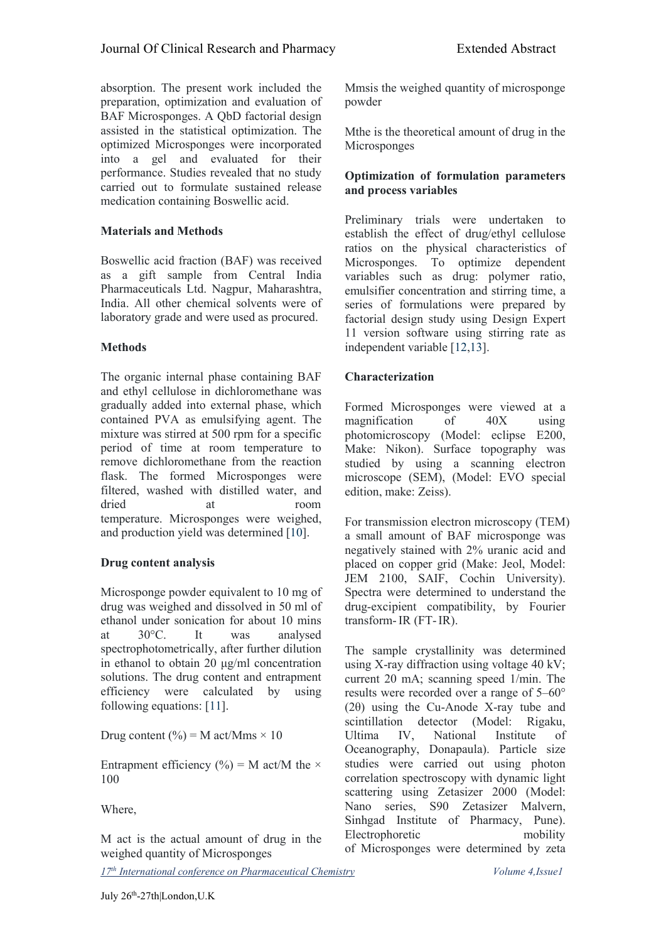absorption. The present work included the preparation, optimization and evaluation of BAF Microsponges. A QbD factorial design assisted in the statistical optimization. The optimized Microsponges were incorporated into a gel and evaluated for their performance. Studies revealed that no study carried out to formulate sustained release medication containing Boswellic acid.

## **Materials and Methods**

Boswellic acid fraction (BAF) was received as a gift sample from Central India Pharmaceuticals Ltd. Nagpur, Maharashtra, India. All other chemical solvents were of laboratory grade and were used as procured.

## **Methods**

The organic internal phase containing BAF and ethyl cellulose in dichloromethane was gradually added into external phase, which contained PVA as emulsifying agent. The mixture was stirred at 500 rpm for a specific period of time at room temperature to remove dichloromethane from the reaction flask. The formed Microsponges were filtered, washed with distilled water, and dried at room temperature. Microsponges were weighed, and production yield was determined [[10](https://www.hilarispublisher.com/open-access/porous-polymeric-carrier-system-for-modified-drug-releaseof-boswellic-acid-45045.html)].

#### **Drug content analysis**

Microsponge powder equivalent to 10 mg of drug was weighed and dissolved in 50 ml of ethanol under sonication for about 10 mins at 30°C. It was analysed spectrophotometrically, after further dilution in ethanol to obtain 20 μg/ml concentration solutions. The drug content and entrapment efficiency were calculated by using following equations: [\[11](https://www.hilarispublisher.com/open-access/porous-polymeric-carrier-system-for-modified-drug-releaseof-boswellic-acid-45045.html)].

Drug content  $(\% ) = M$  act/Mms × 10 Ultima IV,

Entrapment efficiency (%) = M act/M the  $\times$ 100

Where,

M act is the actual amount of drug in the weighed quantity of Microsponges

*17 th International conference on [Pharmaceutical](https://pharmaceuticalchemistry.pharmaceuticalconferences.com/) Chemistry Volume 4,Issue1*

Mmsis the weighed quantity of microsponge powder

Mthe is the theoretical amount of drug in the Microsponges

#### **Optimization of formulation parameters and process variables**

Preliminary trials were undertaken to establish the effect of drug/ethyl cellulose ratios on the physical characteristics of Microsponges. To optimize dependent variables such as drug: polymer ratio, emulsifier concentration and stirring time, a series of formulations were prepared by factorial design study using Design Expert 11 version software using stirring rate as independent variable [[12,13](https://www.hilarispublisher.com/open-access/porous-polymeric-carrier-system-for-modified-drug-releaseof-boswellic-acid-45045.html)].

## **Characterization**

Formed Microsponges were viewed at a magnification of 40X using photomicroscopy (Model: eclipse E200, Make: Nikon). Surface topography was studied by using a scanning electron microscope (SEM), (Model: EVO special edition, make: Zeiss).

For transmission electron microscopy (TEM) a small amount of BAF microsponge was negatively stained with 2% uranic acid and placed on coppergrid (Make: Jeol, Model: JEM 2100, SAIF, Cochin University). Spectra were determined to understand the drug-excipient compatibility, by Fourier transform-IR (FT-IR).

The sample crystallinity was determined using X-ray diffraction using voltage 40 kV; current 20 mA; scanning speed 1/min. The results were recorded over a range of 5–60° (2θ) using the Cu-Anode X-ray tube and scintillation detector (Model: Rigaku, National Institute of Oceanography, Donapaula). Particle size studies were carried out using photon correlation spectroscopy with dynamic light scattering using Zetasizer 2000 (Model: Nano series, S90 Zetasizer Malvern, Sinhgad Institute of Pharmacy, Pune). Electrophoretic mobility of Microsponges were determined by zeta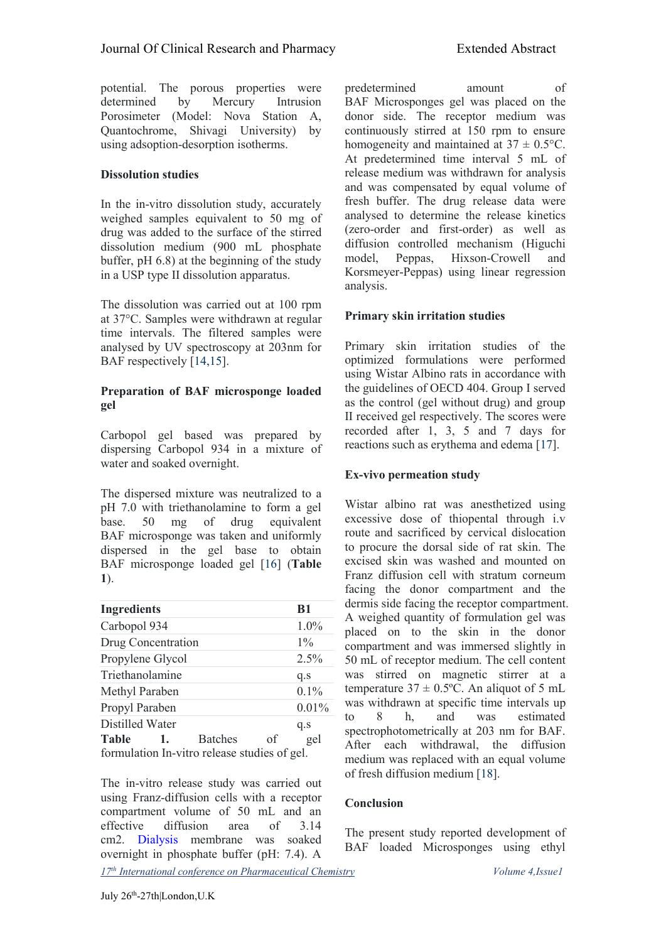potential. The porous properties were<br>determined by Mercury Intrusion Porosimeter (Model: Nova Station A, Quantochrome, Shivagi University) by using adsoption-desorption isotherms.

## **Dissolution studies**

In the in-vitro dissolution study, accurately weighed samples equivalent to 50 mg of drug was added to the surface of the stirred dissolution medium (900 mL phosphate buffer, pH 6.8) at the beginning of the study in a USP type II dissolution apparatus.

The dissolution was carried out at 100 rpm at 37°C. Samples were withdrawn at regular time intervals. The filtered samples were analysed by UV spectroscopy at 203nm for BAF respectively [[14,15](https://www.hilarispublisher.com/open-access/porous-polymeric-carrier-system-for-modified-drug-releaseof-boswellic-acid-45045.html)].

## **Preparation of BAF microsponge loaded gel**

Carbopol gel based was prepared by dispersing Carbopol 934 in a mixture of water and soaked overnight.

The dispersed mixture was neutralized to a pH 7.0 with triethanolamine to form a gel base. 50 mg of drug equivalent BAF microsponge was taken and uniformly dispersed in the gel base to obtain BAF microsponge loaded gel [[16\]](https://www.hilarispublisher.com/open-access/porous-polymeric-carrier-system-for-modified-drug-releaseof-boswellic-acid-45045.html) (**Table 1**).

| <b>B1</b><br><b>Ingredients</b>                                                                                                  | dermis side facing the receptor compartment.<br>A weighed quantity of formulation gel was<br>placed on to the skin in the donor<br>compartment and was immersed slightly in<br>50 mL of receptor medium. The cell content<br>was stirred on magnetic stirrer at a<br>temperature $37 \pm 0.5$ °C. An aliquot of 5 mL<br>was withdrawn at specific time intervals up<br>estimated<br>and<br>was<br>h.<br>to<br>X<br>spectrophotometrically at 203 nm for BAF.<br>After each withdrawal, the diffusion<br>reading was readered with an equal values |
|----------------------------------------------------------------------------------------------------------------------------------|---------------------------------------------------------------------------------------------------------------------------------------------------------------------------------------------------------------------------------------------------------------------------------------------------------------------------------------------------------------------------------------------------------------------------------------------------------------------------------------------------------------------------------------------------|
| $1.0\%$<br>Carbopol 934                                                                                                          |                                                                                                                                                                                                                                                                                                                                                                                                                                                                                                                                                   |
| $1\%$<br>Drug Concentration                                                                                                      |                                                                                                                                                                                                                                                                                                                                                                                                                                                                                                                                                   |
| Propylene Glycol<br>$2.5\%$                                                                                                      |                                                                                                                                                                                                                                                                                                                                                                                                                                                                                                                                                   |
| Triethanolamine<br>q.s                                                                                                           |                                                                                                                                                                                                                                                                                                                                                                                                                                                                                                                                                   |
| $0.1\%$<br>Methyl Paraben                                                                                                        |                                                                                                                                                                                                                                                                                                                                                                                                                                                                                                                                                   |
| 0.01%<br>Propyl Paraben                                                                                                          |                                                                                                                                                                                                                                                                                                                                                                                                                                                                                                                                                   |
| Distilled Water<br>q.s<br><b>Table</b><br><b>Batches</b><br>gel<br><sub>of</sub><br>formulation In-vitro release studies of gel. |                                                                                                                                                                                                                                                                                                                                                                                                                                                                                                                                                   |

*17 th International conference on [Pharmaceutical](https://pharmaceuticalchemistry.pharmaceuticalconferences.com/) Chemistry Volume 4,Issue1* The in-vitro release study was carried out using Franz-diffusion cells with a receptor compartment volume of 50 mL and an effective diffusion area of 3.14<br>
The present study reported development of cm2. [Dialysis](https://www.hilarispublisher.com/open-access-journals/dialysis-13876.html) membrane was soaked overnight in phosphate buffer (pH: 7.4). A

determined by Mercury Intrusion BAF Microsponges gel was placed on the predetermined amount of donor side. The receptor medium was continuously stirred at 150 rpm to ensure homogeneity and maintained at  $37 \pm 0.5$ °C. At predetermined time interval 5 mL of release medium was withdrawn for analysis and was compensated by equal volume of fresh buffer. The drug release data were analysed to determine the release kinetics (zero-order and first-order) as well as diffusion controlled mechanism (Higuchi model, Peppas, Hixson-Crowell and Korsmeyer-Peppas) using linear regression analysis.

## **Primary skin irritation studies**

Primary skin irritation studies of the optimized formulations were performed using Wistar Albino rats in accordance with the guidelines of OECD 404. Group I served as the control (gel without drug) and group II received gel respectively. The scores were recorded after 1, 3, 5 and 7 days for reactions such as erythema and edema [[17\]](https://www.hilarispublisher.com/open-access/porous-polymeric-carrier-system-for-modified-drug-releaseof-boswellic-acid-45045.html).

## **Ex-vivo permeation study**

Wistar albino rat was anesthetized using excessive dose of thiopental through i.v route and sacrificed by cervical dislocation to procure the dorsal side of rat skin. The excised skin was washed and mounted on Franz diffusion cell with stratum corneum facing the donor compartment and the dermis side facing the receptor compartment. to 8 h, and was estimated After each withdrawal, the diffusion medium was replaced with an equal volume of fresh diffusion medium [[18\]](https://www.hilarispublisher.com/open-access/porous-polymeric-carrier-system-for-modified-drug-releaseof-boswellic-acid-45045.html).

#### **Conclusion**

BAF loaded Microsponges using ethyl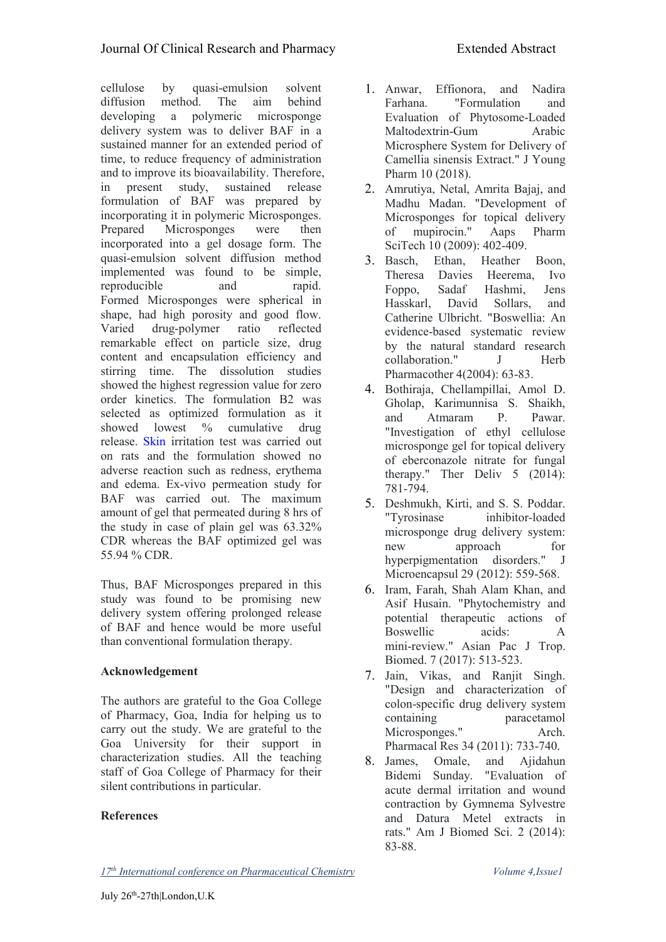cellulose by quasi-emulsion solvent diffusion method. The aim behind Farhana. developing a polymeric microsponge delivery system was to deliver BAF in a sustained manner for an extended period of time, to reduce frequency of administration and to improve its bioavailability. Therefore, in present study, sustained release formulation of BAF was prepared by incorporating it in polymeric Microsponges. Prepared Microsponges were then of incorporated into a gel dosage form. The quasi-emulsion solvent diffusion method implemented was found to be simple, reproducible and rapid. Formed Microsponges were spherical in shape, had high porosity and good flow. Varied drug-polymer ratio reflected remarkable effect on particle size, drug content and encapsulation efficiency and stirring time. The dissolution studies showed the highest regression value for zero order kinetics. The formulation B2 was selected as optimized formulation as it and showed lowest % cumulative drug release. [Skin](https://www.hilarispublisher.com/open-access-journals/skin-15535.html) irritation test was carried out on rats and the formulation showed no adverse reaction such as redness, erythema and edema. Ex-vivo permeation study for BAF was carried out. The maximum amount of gel that permeated during 8 hrs of "Tyrosinase" the study in case of plain gel was 63.32% CDR whereas the BAF optimized gel was  $\frac{m}{new}$ 55.94 % CDR.

Thus, BAF Microsponges prepared in this study was found to be promising new delivery system offering prolonged release of BAF and hence would be more useful than conventional formulation therapy.

## **Acknowledgement**

The authors are grateful to the Goa College of Pharmacy, Goa, India for helping us to carry out the study. We are grateful to the Goa University for their support in characterization studies. All the teaching staff of Goa College of Pharmacy for their silent contributions in particular.

## **References**

- 1. Anwar, Effionora, and Nadira "Formulation and Evaluation of Phytosome-Loaded Maltodextrin-Gum Arabic Microsphere System for Delivery of Camellia sinensis Extract." J Young Pharm 10 (2018).
- 2. Amrutiya, Netal, Amrita Bajaj, and Madhu Madan. "Development of Microsponges for topical delivery mupirocin." Aaps Pharm SciTech 10 (2009): 402-409.
- 3. Basch, Ethan, Heather Boon, Theresa Davies Heerema, Ivo Foppo, Sadaf Hashmi, Jens Hasskarl, Catherine Ulbricht. "Boswellia: An evidence-based systematic review by the natural standard research collaboration." J Herb Pharmacother 4(2004): 63-83.
- 4. Bothiraja, Chellampillai, Amol D. Gholap, Karimunnisa S. Shaikh, Atmaram P. Pawar. "Investigation of ethyl cellulose microsponge gel for topical delivery of eberconazole nitrate for fungal therapy." Ther Deliv 5 (2014): 781-794.
- 5. Deshmukh, Kirti, and S. S. Poddar. inhibitor-loaded microsponge drug delivery system: approach for hyperpigmentation disorders." J Microencapsul 29 (2012): 559-568.
- 6. Iram, Farah, Shah Alam Khan, and Asif Husain. "Phytochemistry and potential therapeutic actions of Boswellic acids: A mini-review." Asian Pac J Trop. Biomed. 7 (2017): 513-523.
- 7. Jain, Vikas, and Ranjit Singh. "Design and characterization of colon-specific drug delivery system paracetamol Microsponges." Arch. Pharmacal Res 34 (2011): 733-740.
- Omale, and Ajidahun Bidemi Sunday. "Evaluation of acute dermal irritation and wound contraction by Gymnema Sylvestre and Datura Metel extracts in rats." Am J Biomed Sci. 2 (2014): 83-88.